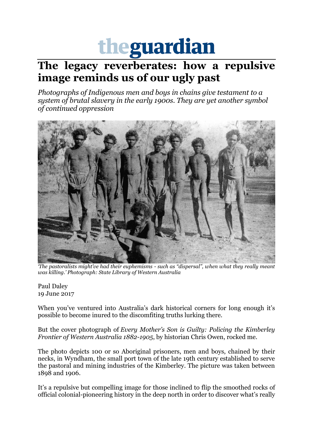## theguardian

## **The legacy reverberates: how a repulsive image reminds us of our ugly past**

*Photographs of Indigenous men and boys in chains give testament to a system of brutal slavery in the early 1900s. They are yet another symbol of continued oppression*



*'The pastoralists might've had their euphemisms - such as "dispersal", when what they really meant was killing.' Photograph: State Library of Western Australia*

[Paul Daley](https://www.theguardian.com/profile/paul-daley) 19 June 2017

When you've ventured into Australia's dark historical corners for long enough it's possible to become inured to the discomfiting truths lurking there.

But the cover photograph of *Every Mother's Son is Guilty: Policing the Kimberley Frontier of Western Australia 1882-1905*, by historian Chris Owen, rocked me.

The photo depicts 100 or so Aboriginal prisoners, men and boys, chained by their necks, in Wyndham, the small port town of the late 19th century established to serve the pastoral and mining industries of the Kimberley. The picture was taken between 1898 and 1906.

It's a repulsive but compelling image for those inclined to flip the smoothed rocks of official colonial-pioneering history in the deep north in order to discover what's really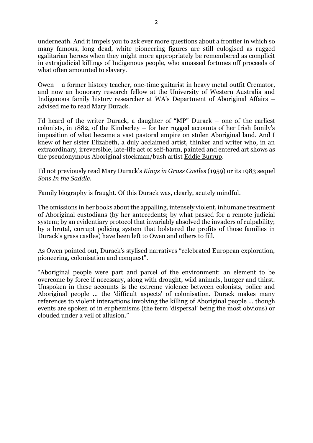underneath. And it impels you to ask ever more questions about a frontier in which so many famous, long dead, white pioneering figures are still eulogised as rugged egalitarian heroes when they might more appropriately be remembered as complicit in extrajudicial killings of Indigenous people, who amassed fortunes off proceeds of what often amounted to slavery.

Owen – a former history teacher, one-time guitarist in heavy metal outfit Cremator, and now an honorary research fellow at the University of Western Australia and Indigenous family history researcher at WA's Department of Aboriginal Affairs – advised me to read Mary Durack.

I'd heard of the writer Durack, a daughter of "MP" Durack – one of the earliest colonists, in 1882, of the Kimberley – for her rugged accounts of her Irish family's imposition of what became a vast pastoral empire on stolen Aboriginal land. And I knew of her sister Elizabeth, a duly acclaimed artist, thinker and writer who, in an extraordinary, irreversible, late-life act of self-harm, painted and entered art shows as the pseudonymous Aboriginal stockman/bush artist [Eddie Burrup.](http://www.independent.co.uk/incoming/the-scandalous-outing-of-eddie-burrup-734163.html%E2%80%9D%20http:/www.independent.co.uk/incoming/the-scandalous-outing-of-eddie-burrup-734163.html)

I'd not previously read Mary Durack's *Kings in Grass Castles* (1959) or its 1983 sequel *Sons In the Saddle*.

Family biography is fraught. Of this Durack was, clearly, acutely mindful.

The omissions in her books about the appalling, intensely violent, inhumane treatment of Aboriginal custodians (by her antecedents; by what passed for a remote judicial system; by an evidentiary protocol that invariably absolved the invaders of culpability; by a brutal, corrupt policing system that bolstered the profits of those families in Durack's grass castles) have been left to Owen and others to fill.

As Owen pointed out, Durack's stylised narratives "celebrated European exploration, pioneering, colonisation and conquest".

"Aboriginal people were part and parcel of the environment: an element to be overcome by force if necessary, along with drought, wild animals, hunger and thirst. Unspoken in these accounts is the extreme violence between colonists, police and Aboriginal people ... the 'difficult aspects' of colonisation. Durack makes many references to violent interactions involving the killing of Aboriginal people ... though events are spoken of in euphemisms (the term 'dispersal' being the most obvious) or clouded under a veil of allusion."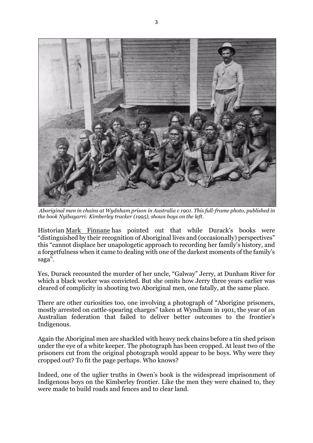

*Aboriginal men in chains at Wydnham prison in Australia c 1901. This full-frame photo, published in the book Nyibayarri: Kimberley tracker (1995), shows boys on the left.*

Historian [Mark Finnane](https://www.griffith.edu.au/humanities-languages/school-humanities-languages-social-science/staff/mark-finnane) has pointed out that while Durack's books were "distinguished by their recognition of Aboriginal lives and (occasionally) perspectives" this "cannot displace her unapologetic approach to recording her family's history, and a forgetfulness when it came to dealing with one of the darkest moments of the family's saga".

Yes, Durack recounted the murder of her uncle, "Galway" Jerry, at Dunham River for which a black worker was convicted. But she omits how Jerry three years earlier was cleared of complicity in shooting two Aboriginal men, one fatally, at the same place.

There are other curiosities too, one involving a photograph of "Aborigine prisoners, mostly arrested on cattle-spearing charges" taken at Wyndham in 1901, the year of an Australian federation that failed to deliver better outcomes to the frontier's Indigenous.

Again the Aboriginal men are shackled with heavy neck chains before a tin shed prison under the eye of a white keeper. The photograph has been cropped. At least two of the prisoners cut from the original photograph would appear to be boys. Why were they cropped out? To fit the page perhaps. Who knows?

Indeed, one of the uglier truths in Owen's book is the widespread imprisonment of Indigenous boys on the Kimberley frontier. Like the men they were chained to, they were made to build roads and fences and to clear land.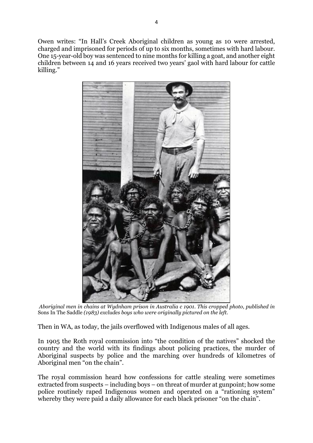Owen writes: "In Hall's Creek Aboriginal children as young as 10 were arrested, charged and imprisoned for periods of up to six months, sometimes with hard labour. One 15-year-old boy was sentenced to nine months for killing a goat, and another eight children between 14 and 16 years received two years' gaol with hard labour for cattle killing."



*Aboriginal men in chains at Wydnham prison in Australia c 1901. This cropped photo, published in*  Sons In The Saddle *(1983) excludes boys who were originally pictured on the left.*

Then in WA, as today, the jails overflowed with Indigenous males of all ages.

In 1905 the Roth royal commission into "the condition of the natives" shocked the country and the world with its findings about policing practices, the murder of Aboriginal suspects by police and the marching over hundreds of kilometres of Aboriginal men "on the chain".

The royal commission heard how confessions for cattle stealing were sometimes extracted from suspects – including boys – on threat of murder at gunpoint; how some police routinely raped Indigenous women and operated on a "rationing system" whereby they were paid a daily allowance for each black prisoner "on the chain".